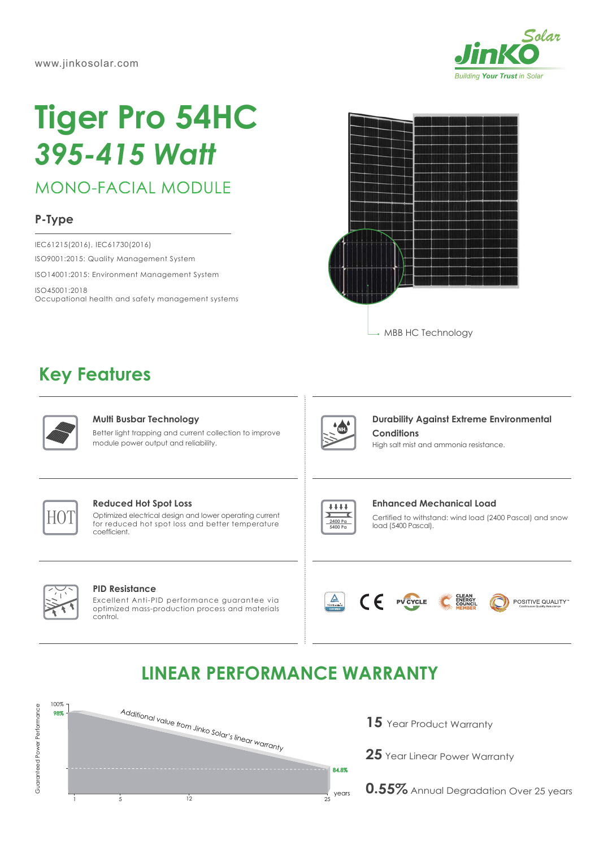

# **Tiger Pro 54HC** *395-415 Watt*

**MONO-FACIAL MODULE** 

## **P-Type**

ISO9001:2015: Quality Management System ISO14001:2015: Environment Management System ISO45001:2018 Occupational health and safety management systems IEC61215(2016), IEC61730(2016)



# **Key Features**



#### **Multi Busbar Technology**

Better light trapping and current collection to improve module power output and reliability.



### **Durability Against Extreme Environmental Conditions**

High salt mist and ammonia resistance.



#### **Reduced Hot Spot Loss**

Optimized electrical design and lower operating current **for reduced hot spot loss and bower operating current determined and the conduct of the spot loss and better temperature** coefficient.



#### Certified to withstand: wind load (2400 Pascal) and snow load (5400 Pascal). **Enhanced Mechanical Load**

#### **PID Resistance**

Excellent Anti-PID performance guarantee via optimized mass-production process and materials control.



 $\epsilon$ 

PV CYCLE



**LINEAR PERFORMANCE WARRANTY**



- 15 Year Product Warranty
- **25** Year Linear Power Warranty

**0.55%** Annual Degradation Over 25 years